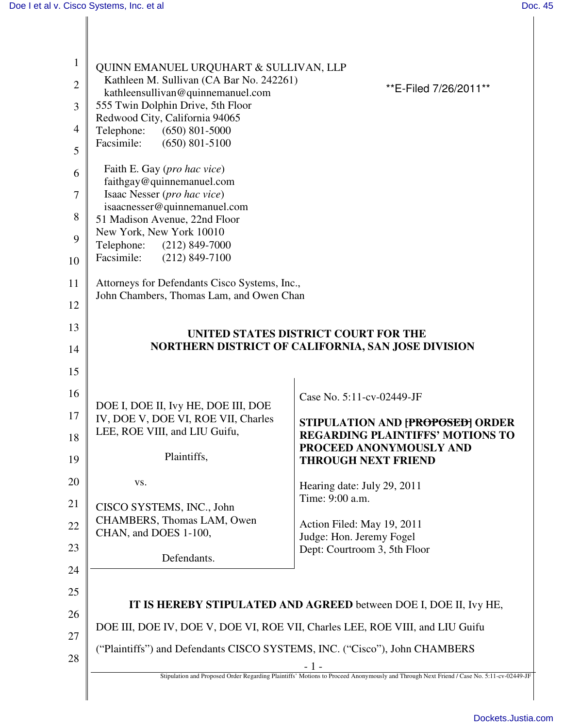| $\mathbf{1}$   |                                                                                                                                                                                                                                |                                                                               |
|----------------|--------------------------------------------------------------------------------------------------------------------------------------------------------------------------------------------------------------------------------|-------------------------------------------------------------------------------|
|                | QUINN EMANUEL URQUHART & SULLIVAN, LLP<br>Kathleen M. Sullivan (CA Bar No. 242261)                                                                                                                                             |                                                                               |
| $\overline{2}$ | kathleensullivan@quinnemanuel.com                                                                                                                                                                                              | ** E-Filed 7/26/2011**                                                        |
| 3              | 555 Twin Dolphin Drive, 5th Floor<br>Redwood City, California 94065                                                                                                                                                            |                                                                               |
| $\overline{4}$ | Telephone:<br>$(650)$ 801-5000<br>Facsimile:<br>$(650)$ 801-5100                                                                                                                                                               |                                                                               |
| 5              |                                                                                                                                                                                                                                |                                                                               |
| 6              | Faith E. Gay (pro hac vice)<br>faithgay@quinnemanuel.com                                                                                                                                                                       |                                                                               |
| 7              | Isaac Nesser (pro hac vice)                                                                                                                                                                                                    |                                                                               |
| 8              | isaacnesser@quinnemanuel.com<br>51 Madison Avenue, 22nd Floor                                                                                                                                                                  |                                                                               |
| 9              | New York, New York 10010<br>Telephone:<br>$(212)$ 849-7000                                                                                                                                                                     |                                                                               |
| 10             | Facsimile:<br>$(212)$ 849-7100                                                                                                                                                                                                 |                                                                               |
| 11             | Attorneys for Defendants Cisco Systems, Inc.,<br>John Chambers, Thomas Lam, and Owen Chan                                                                                                                                      |                                                                               |
| 12             |                                                                                                                                                                                                                                |                                                                               |
| 13             |                                                                                                                                                                                                                                |                                                                               |
| 14             | UNITED STATES DISTRICT COURT FOR THE<br>NORTHERN DISTRICT OF CALIFORNIA, SAN JOSE DIVISION                                                                                                                                     |                                                                               |
| 15             |                                                                                                                                                                                                                                |                                                                               |
| 16             |                                                                                                                                                                                                                                | Case No. 5:11-cv-02449-JF                                                     |
| 17             | DOE I, DOE II, Ivy HE, DOE III, DOE<br>IV, DOE V, DOE VI, ROE VII, Charles                                                                                                                                                     |                                                                               |
| 18             | LEE, ROE VIII, and LIU Guifu,                                                                                                                                                                                                  | STIPULATION AND [PROPOSED] ORDER<br><b>REGARDING PLAINTIFFS' MOTIONS TO</b>   |
| 19             | Plaintiffs.                                                                                                                                                                                                                    | PROCEED ANONYMOUSLY AND<br><b>THROUGH NEXT FRIEND</b>                         |
| 20             | VS.                                                                                                                                                                                                                            | Hearing date: July 29, 2011                                                   |
| 21             |                                                                                                                                                                                                                                | Time: 9:00 a.m.                                                               |
| 22             | CISCO SYSTEMS, INC., John<br>CHAMBERS, Thomas LAM, Owen                                                                                                                                                                        | Action Filed: May 19, 2011                                                    |
| 23             | CHAN, and DOES 1-100,                                                                                                                                                                                                          | Judge: Hon. Jeremy Fogel<br>Dept: Courtroom 3, 5th Floor                      |
| 24             | Defendants.                                                                                                                                                                                                                    |                                                                               |
| 25             |                                                                                                                                                                                                                                |                                                                               |
|                | IT IS HEREBY STIPULATED AND AGREED between DOE I, DOE II, Ivy HE,                                                                                                                                                              |                                                                               |
| 26             |                                                                                                                                                                                                                                | DOE III, DOE IV, DOE V, DOE VI, ROE VII, Charles LEE, ROE VIII, and LIU Guifu |
| 27             | ("Plaintiffs") and Defendants CISCO SYSTEMS, INC. ("Cisco"), John CHAMBERS<br>$-1-$<br>Stipulation and Proposed Order Regarding Plaintiffs' Motions to Proceed Anonymously and Through Next Friend / Case No. 5:11-cv-02449-JF |                                                                               |
| 28             |                                                                                                                                                                                                                                |                                                                               |
|                |                                                                                                                                                                                                                                |                                                                               |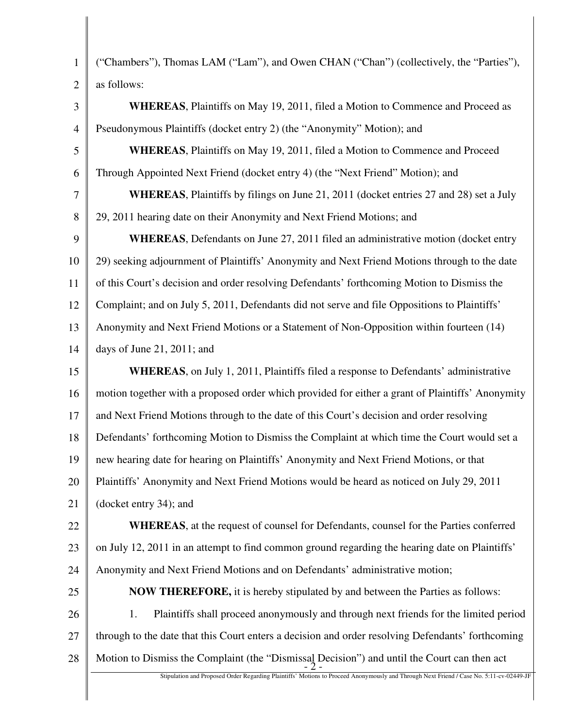| $\mathbf{1}$   | ("Chambers"), Thomas LAM ("Lam"), and Owen CHAN ("Chan") (collectively, the "Parties"),                                                 |  |
|----------------|-----------------------------------------------------------------------------------------------------------------------------------------|--|
| $\overline{2}$ | as follows:                                                                                                                             |  |
| 3              | <b>WHEREAS</b> , Plaintiffs on May 19, 2011, filed a Motion to Commence and Proceed as                                                  |  |
| $\overline{4}$ | Pseudonymous Plaintiffs (docket entry 2) (the "Anonymity" Motion); and                                                                  |  |
| 5              | <b>WHEREAS</b> , Plaintiffs on May 19, 2011, filed a Motion to Commence and Proceed                                                     |  |
| 6              | Through Appointed Next Friend (docket entry 4) (the "Next Friend" Motion); and                                                          |  |
| 7              | <b>WHEREAS</b> , Plaintiffs by filings on June 21, 2011 (docket entries 27 and 28) set a July                                           |  |
| 8              | 29, 2011 hearing date on their Anonymity and Next Friend Motions; and                                                                   |  |
| 9              | <b>WHEREAS</b> , Defendants on June 27, 2011 filed an administrative motion (docket entry                                               |  |
| 10             | 29) seeking adjournment of Plaintiffs' Anonymity and Next Friend Motions through to the date                                            |  |
| 11             | of this Court's decision and order resolving Defendants' forthcoming Motion to Dismiss the                                              |  |
| 12             | Complaint; and on July 5, 2011, Defendants did not serve and file Oppositions to Plaintiffs'                                            |  |
| 13             | Anonymity and Next Friend Motions or a Statement of Non-Opposition within fourteen (14)                                                 |  |
| 14             | days of June 21, 2011; and                                                                                                              |  |
| 15             | <b>WHEREAS</b> , on July 1, 2011, Plaintiffs filed a response to Defendants' administrative                                             |  |
| 16             | motion together with a proposed order which provided for either a grant of Plaintiffs' Anonymity                                        |  |
| 17             | and Next Friend Motions through to the date of this Court's decision and order resolving                                                |  |
| 18             | Defendants' forthcoming Motion to Dismiss the Complaint at which time the Court would set a                                             |  |
| 19             | new hearing date for hearing on Plaintiffs' Anonymity and Next Friend Motions, or that                                                  |  |
| 20             | Plaintiffs' Anonymity and Next Friend Motions would be heard as noticed on July 29, 2011                                                |  |
| 21             | (docket entry 34); and                                                                                                                  |  |
| 22             | <b>WHEREAS</b> , at the request of counsel for Defendants, counsel for the Parties conferred                                            |  |
| 23             | on July 12, 2011 in an attempt to find common ground regarding the hearing date on Plaintiffs'                                          |  |
| 24             | Anonymity and Next Friend Motions and on Defendants' administrative motion;                                                             |  |
| 25             | <b>NOW THEREFORE, it is hereby stipulated by and between the Parties as follows:</b>                                                    |  |
| 26             | Plaintiffs shall proceed anonymously and through next friends for the limited period<br>1.                                              |  |
| 27             | through to the date that this Court enters a decision and order resolving Defendants' forthcoming                                       |  |
| 28             | Motion to Dismiss the Complaint (the "Dismissal Decision") and until the Court can then act                                             |  |
|                | Stipulation and Proposed Order Regarding Plaintiffs' Motions to Proceed Anonymously and Through Next Friend / Case No. 5:11-cv-02449-JF |  |
|                |                                                                                                                                         |  |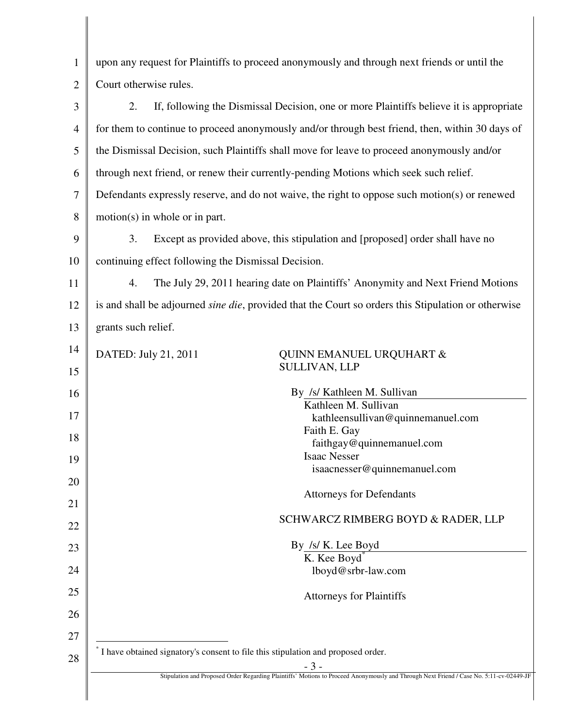| $\mathbf{1}$   | upon any request for Plaintiffs to proceed anonymously and through next friends or until the                                            |  |
|----------------|-----------------------------------------------------------------------------------------------------------------------------------------|--|
| $\overline{2}$ | Court otherwise rules.                                                                                                                  |  |
| 3              | If, following the Dismissal Decision, one or more Plaintiffs believe it is appropriate<br>2.                                            |  |
| $\overline{4}$ | for them to continue to proceed anonymously and/or through best friend, then, within 30 days of                                         |  |
| 5              | the Dismissal Decision, such Plaintiffs shall move for leave to proceed anonymously and/or                                              |  |
| 6              | through next friend, or renew their currently-pending Motions which seek such relief.                                                   |  |
| $\tau$         | Defendants expressly reserve, and do not waive, the right to oppose such motion(s) or renewed                                           |  |
| 8              | $motion(s)$ in whole or in part.                                                                                                        |  |
| 9              | 3.<br>Except as provided above, this stipulation and [proposed] order shall have no                                                     |  |
| 10             | continuing effect following the Dismissal Decision.                                                                                     |  |
| 11             | The July 29, 2011 hearing date on Plaintiffs' Anonymity and Next Friend Motions<br>4.                                                   |  |
| 12             | is and shall be adjourned sine die, provided that the Court so orders this Stipulation or otherwise                                     |  |
| 13             | grants such relief.                                                                                                                     |  |
| 14             | DATED: July 21, 2011<br><b>QUINN EMANUEL URQUHART &amp;</b>                                                                             |  |
| 15             | <b>SULLIVAN, LLP</b>                                                                                                                    |  |
| 16             | By /s/ Kathleen M. Sullivan                                                                                                             |  |
| 17             | Kathleen M. Sullivan<br>kathleensullivan@quinnemanuel.com                                                                               |  |
| 18             | Faith E. Gay                                                                                                                            |  |
|                | faithgay@quinnemanuel.com                                                                                                               |  |
| 19             | Isaac Nesser<br>isaacnesser@quinnemanuel.com                                                                                            |  |
| 20             |                                                                                                                                         |  |
| 21             | <b>Attorneys for Defendants</b>                                                                                                         |  |
| 22             | SCHWARCZ RIMBERG BOYD & RADER, LLP                                                                                                      |  |
| 23             | By /s/ K. Lee Boyd                                                                                                                      |  |
| 24             | K. Kee Boyd<br>lboyd@srbr-law.com                                                                                                       |  |
| 25             |                                                                                                                                         |  |
| 26             | <b>Attorneys for Plaintiffs</b>                                                                                                         |  |
| 27             |                                                                                                                                         |  |
|                | I have obtained signatory's consent to file this stipulation and proposed order.                                                        |  |
| 28             | - 3 -                                                                                                                                   |  |
|                | Stipulation and Proposed Order Regarding Plaintiffs' Motions to Proceed Anonymously and Through Next Friend / Case No. 5:11-cv-02449-JF |  |
|                |                                                                                                                                         |  |